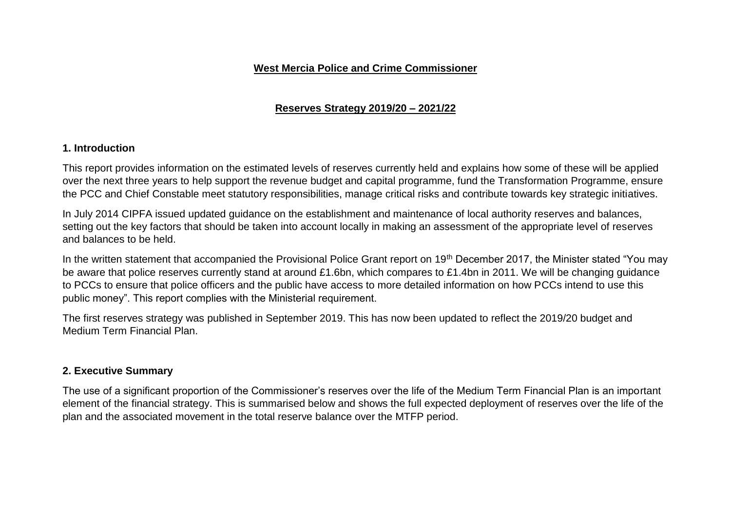#### **West Mercia Police and Crime Commissioner**

# **Reserves Strategy 2019/20 – 2021/22**

#### **1. Introduction**

This report provides information on the estimated levels of reserves currently held and explains how some of these will be applied over the next three years to help support the revenue budget and capital programme, fund the Transformation Programme, ensure the PCC and Chief Constable meet statutory responsibilities, manage critical risks and contribute towards key strategic initiatives.

In July 2014 CIPFA issued updated guidance on the establishment and maintenance of local authority reserves and balances, setting out the key factors that should be taken into account locally in making an assessment of the appropriate level of reserves and balances to be held.

In the written statement that accompanied the Provisional Police Grant report on 19<sup>th</sup> December 2017, the Minister stated "You may be aware that police reserves currently stand at around £1.6bn, which compares to £1.4bn in 2011. We will be changing guidance to PCCs to ensure that police officers and the public have access to more detailed information on how PCCs intend to use this public money". This report complies with the Ministerial requirement.

The first reserves strategy was published in September 2019. This has now been updated to reflect the 2019/20 budget and Medium Term Financial Plan.

#### **2. Executive Summary**

The use of a significant proportion of the Commissioner's reserves over the life of the Medium Term Financial Plan is an important element of the financial strategy. This is summarised below and shows the full expected deployment of reserves over the life of the plan and the associated movement in the total reserve balance over the MTFP period.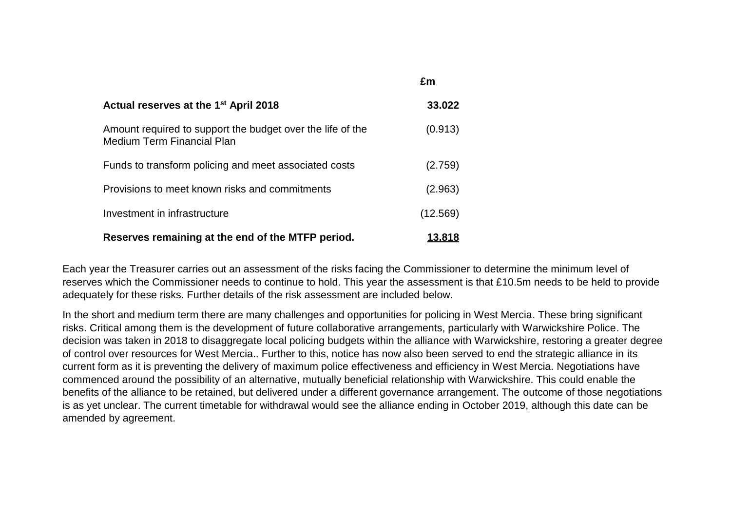| Actual reserves at the 1 <sup>st</sup> April 2018                                               | 33,022   |
|-------------------------------------------------------------------------------------------------|----------|
| Amount required to support the budget over the life of the<br><b>Medium Term Financial Plan</b> | (0.913)  |
| Funds to transform policing and meet associated costs                                           | (2.759)  |
| Provisions to meet known risks and commitments                                                  | (2.963)  |
| Investment in infrastructure                                                                    | (12.569) |
| Reserves remaining at the end of the MTFP period.                                               | 13.818   |

Each year the Treasurer carries out an assessment of the risks facing the Commissioner to determine the minimum level of reserves which the Commissioner needs to continue to hold. This year the assessment is that £10.5m needs to be held to provide adequately for these risks. Further details of the risk assessment are included below.

**£m**

In the short and medium term there are many challenges and opportunities for policing in West Mercia. These bring significant risks. Critical among them is the development of future collaborative arrangements, particularly with Warwickshire Police. The decision was taken in 2018 to disaggregate local policing budgets within the alliance with Warwickshire, restoring a greater degree of control over resources for West Mercia.. Further to this, notice has now also been served to end the strategic alliance in its current form as it is preventing the delivery of maximum police effectiveness and efficiency in West Mercia. Negotiations have commenced around the possibility of an alternative, mutually beneficial relationship with Warwickshire. This could enable the benefits of the alliance to be retained, but delivered under a different governance arrangement. The outcome of those negotiations is as yet unclear. The current timetable for withdrawal would see the alliance ending in October 2019, although this date can be amended by agreement.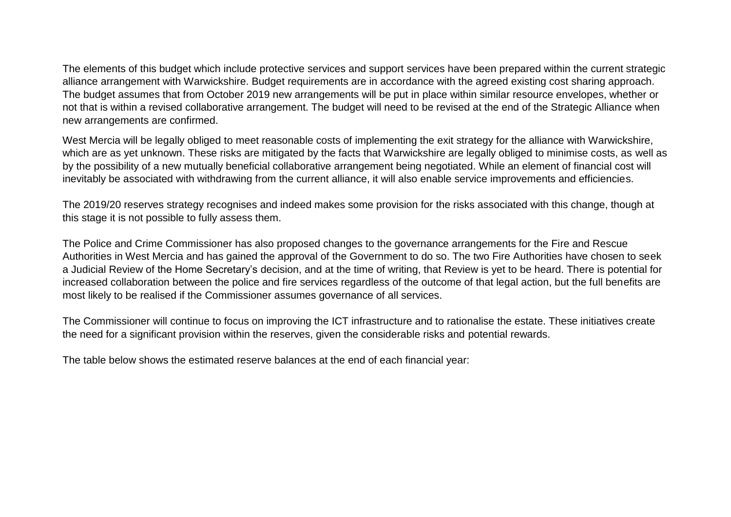The elements of this budget which include protective services and support services have been prepared within the current strategic alliance arrangement with Warwickshire. Budget requirements are in accordance with the agreed existing cost sharing approach. The budget assumes that from October 2019 new arrangements will be put in place within similar resource envelopes, whether or not that is within a revised collaborative arrangement. The budget will need to be revised at the end of the Strategic Alliance when new arrangements are confirmed.

West Mercia will be legally obliged to meet reasonable costs of implementing the exit strategy for the alliance with Warwickshire, which are as yet unknown. These risks are mitigated by the facts that Warwickshire are legally obliged to minimise costs, as well as by the possibility of a new mutually beneficial collaborative arrangement being negotiated. While an element of financial cost will inevitably be associated with withdrawing from the current alliance, it will also enable service improvements and efficiencies.

The 2019/20 reserves strategy recognises and indeed makes some provision for the risks associated with this change, though at this stage it is not possible to fully assess them.

The Police and Crime Commissioner has also proposed changes to the governance arrangements for the Fire and Rescue Authorities in West Mercia and has gained the approval of the Government to do so. The two Fire Authorities have chosen to seek a Judicial Review of the Home Secretary's decision, and at the time of writing, that Review is yet to be heard. There is potential for increased collaboration between the police and fire services regardless of the outcome of that legal action, but the full benefits are most likely to be realised if the Commissioner assumes governance of all services.

The Commissioner will continue to focus on improving the ICT infrastructure and to rationalise the estate. These initiatives create the need for a significant provision within the reserves, given the considerable risks and potential rewards.

The table below shows the estimated reserve balances at the end of each financial year: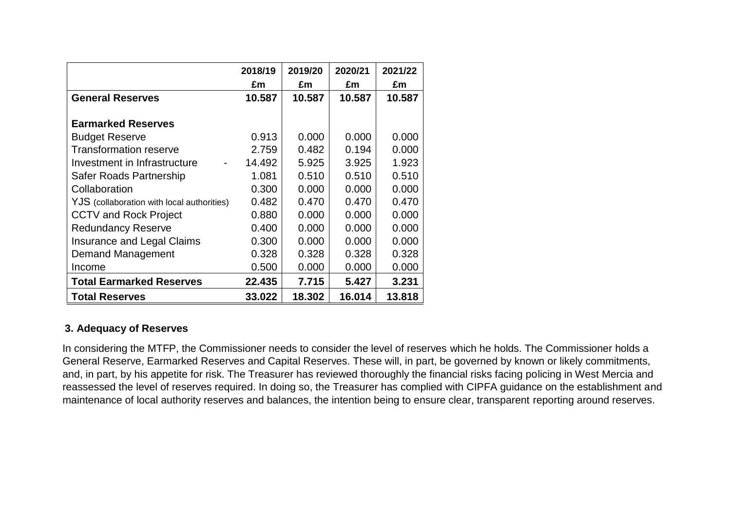|                                            | 2018/19 | 2019/20 | 2020/21 | 2021/22 |
|--------------------------------------------|---------|---------|---------|---------|
|                                            | £m      | £m      | £m      | £m      |
| <b>General Reserves</b>                    | 10.587  | 10.587  | 10.587  | 10.587  |
|                                            |         |         |         |         |
| <b>Earmarked Reserves</b>                  |         |         |         |         |
| <b>Budget Reserve</b>                      | 0.913   | 0.000   | 0.000   | 0.000   |
| <b>Transformation reserve</b>              | 2.759   | 0.482   | 0.194   | 0.000   |
| Investment in Infrastructure               | 14.492  | 5.925   | 3.925   | 1.923   |
| Safer Roads Partnership                    | 1.081   | 0.510   | 0.510   | 0.510   |
| Collaboration                              | 0.300   | 0.000   | 0.000   | 0.000   |
| YJS (collaboration with local authorities) | 0.482   | 0.470   | 0.470   | 0.470   |
| <b>CCTV and Rock Project</b>               | 0.880   | 0.000   | 0.000   | 0.000   |
| <b>Redundancy Reserve</b>                  | 0.400   | 0.000   | 0.000   | 0.000   |
| <b>Insurance and Legal Claims</b>          | 0.300   | 0.000   | 0.000   | 0.000   |
| Demand Management                          | 0.328   | 0.328   | 0.328   | 0.328   |
| Income                                     | 0.500   | 0.000   | 0.000   | 0.000   |
| <b>Total Earmarked Reserves</b>            | 22.435  | 7.715   | 5.427   | 3.231   |
| <b>Total Reserves</b>                      | 33.022  | 18.302  | 16.014  | 13.818  |

# **3. Adequacy of Reserves**

In considering the MTFP, the Commissioner needs to consider the level of reserves which he holds. The Commissioner holds a General Reserve, Earmarked Reserves and Capital Reserves. These will, in part, be governed by known or likely commitments, and, in part, by his appetite for risk. The Treasurer has reviewed thoroughly the financial risks facing policing in West Mercia and reassessed the level of reserves required. In doing so, the Treasurer has complied with CIPFA guidance on the establishment and maintenance of local authority reserves and balances, the intention being to ensure clear, transparent reporting around reserves.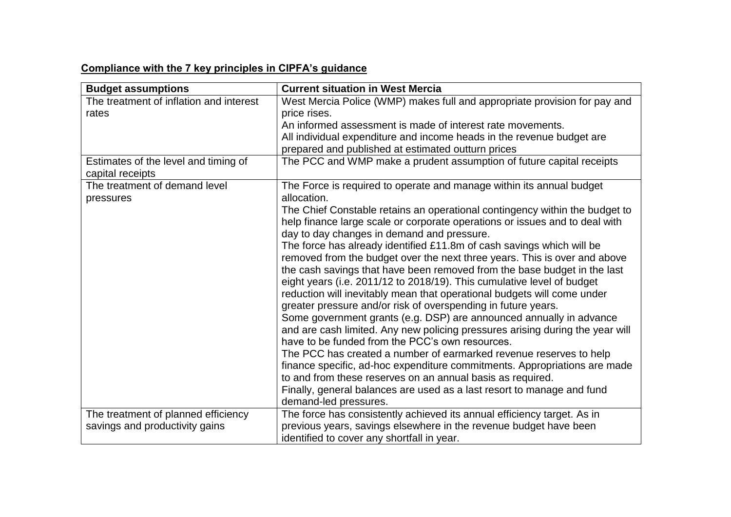# **Compliance with the 7 key principles in CIPFA's guidance**

| <b>Budget assumptions</b>                                | <b>Current situation in West Mercia</b>                                                                                                                                                                                                                                                                                                                                                                                                                                                                                                                                                                                                                                                                                                                                                                                                                                                                                                                                                                                                                                                                                                                                                         |
|----------------------------------------------------------|-------------------------------------------------------------------------------------------------------------------------------------------------------------------------------------------------------------------------------------------------------------------------------------------------------------------------------------------------------------------------------------------------------------------------------------------------------------------------------------------------------------------------------------------------------------------------------------------------------------------------------------------------------------------------------------------------------------------------------------------------------------------------------------------------------------------------------------------------------------------------------------------------------------------------------------------------------------------------------------------------------------------------------------------------------------------------------------------------------------------------------------------------------------------------------------------------|
| The treatment of inflation and interest                  | West Mercia Police (WMP) makes full and appropriate provision for pay and                                                                                                                                                                                                                                                                                                                                                                                                                                                                                                                                                                                                                                                                                                                                                                                                                                                                                                                                                                                                                                                                                                                       |
| rates                                                    | price rises.                                                                                                                                                                                                                                                                                                                                                                                                                                                                                                                                                                                                                                                                                                                                                                                                                                                                                                                                                                                                                                                                                                                                                                                    |
|                                                          | An informed assessment is made of interest rate movements.                                                                                                                                                                                                                                                                                                                                                                                                                                                                                                                                                                                                                                                                                                                                                                                                                                                                                                                                                                                                                                                                                                                                      |
|                                                          | All individual expenditure and income heads in the revenue budget are                                                                                                                                                                                                                                                                                                                                                                                                                                                                                                                                                                                                                                                                                                                                                                                                                                                                                                                                                                                                                                                                                                                           |
|                                                          | prepared and published at estimated outturn prices                                                                                                                                                                                                                                                                                                                                                                                                                                                                                                                                                                                                                                                                                                                                                                                                                                                                                                                                                                                                                                                                                                                                              |
| Estimates of the level and timing of<br>capital receipts | The PCC and WMP make a prudent assumption of future capital receipts                                                                                                                                                                                                                                                                                                                                                                                                                                                                                                                                                                                                                                                                                                                                                                                                                                                                                                                                                                                                                                                                                                                            |
| The treatment of demand level<br>pressures               | The Force is required to operate and manage within its annual budget<br>allocation.                                                                                                                                                                                                                                                                                                                                                                                                                                                                                                                                                                                                                                                                                                                                                                                                                                                                                                                                                                                                                                                                                                             |
|                                                          | The Chief Constable retains an operational contingency within the budget to<br>help finance large scale or corporate operations or issues and to deal with<br>day to day changes in demand and pressure.<br>The force has already identified £11.8m of cash savings which will be<br>removed from the budget over the next three years. This is over and above<br>the cash savings that have been removed from the base budget in the last<br>eight years (i.e. 2011/12 to 2018/19). This cumulative level of budget<br>reduction will inevitably mean that operational budgets will come under<br>greater pressure and/or risk of overspending in future years.<br>Some government grants (e.g. DSP) are announced annually in advance<br>and are cash limited. Any new policing pressures arising during the year will<br>have to be funded from the PCC's own resources.<br>The PCC has created a number of earmarked revenue reserves to help<br>finance specific, ad-hoc expenditure commitments. Appropriations are made<br>to and from these reserves on an annual basis as required.<br>Finally, general balances are used as a last resort to manage and fund<br>demand-led pressures. |
| The treatment of planned efficiency                      | The force has consistently achieved its annual efficiency target. As in                                                                                                                                                                                                                                                                                                                                                                                                                                                                                                                                                                                                                                                                                                                                                                                                                                                                                                                                                                                                                                                                                                                         |
| savings and productivity gains                           | previous years, savings elsewhere in the revenue budget have been                                                                                                                                                                                                                                                                                                                                                                                                                                                                                                                                                                                                                                                                                                                                                                                                                                                                                                                                                                                                                                                                                                                               |
|                                                          | identified to cover any shortfall in year.                                                                                                                                                                                                                                                                                                                                                                                                                                                                                                                                                                                                                                                                                                                                                                                                                                                                                                                                                                                                                                                                                                                                                      |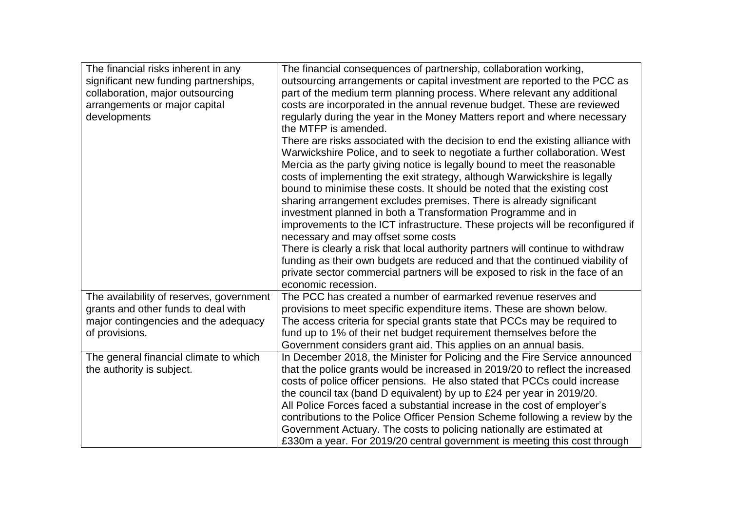| The financial risks inherent in any<br>significant new funding partnerships,<br>collaboration, major outsourcing<br>arrangements or major capital<br>developments | The financial consequences of partnership, collaboration working,<br>outsourcing arrangements or capital investment are reported to the PCC as<br>part of the medium term planning process. Where relevant any additional<br>costs are incorporated in the annual revenue budget. These are reviewed<br>regularly during the year in the Money Matters report and where necessary<br>the MTFP is amended.<br>There are risks associated with the decision to end the existing alliance with                                                                                                                                                                                                                                                                                                                                                                 |
|-------------------------------------------------------------------------------------------------------------------------------------------------------------------|-------------------------------------------------------------------------------------------------------------------------------------------------------------------------------------------------------------------------------------------------------------------------------------------------------------------------------------------------------------------------------------------------------------------------------------------------------------------------------------------------------------------------------------------------------------------------------------------------------------------------------------------------------------------------------------------------------------------------------------------------------------------------------------------------------------------------------------------------------------|
|                                                                                                                                                                   | Warwickshire Police, and to seek to negotiate a further collaboration. West<br>Mercia as the party giving notice is legally bound to meet the reasonable<br>costs of implementing the exit strategy, although Warwickshire is legally<br>bound to minimise these costs. It should be noted that the existing cost<br>sharing arrangement excludes premises. There is already significant<br>investment planned in both a Transformation Programme and in<br>improvements to the ICT infrastructure. These projects will be reconfigured if<br>necessary and may offset some costs<br>There is clearly a risk that local authority partners will continue to withdraw<br>funding as their own budgets are reduced and that the continued viability of<br>private sector commercial partners will be exposed to risk in the face of an<br>economic recession. |
| The availability of reserves, government<br>grants and other funds to deal with<br>major contingencies and the adequacy<br>of provisions.                         | The PCC has created a number of earmarked revenue reserves and<br>provisions to meet specific expenditure items. These are shown below.<br>The access criteria for special grants state that PCCs may be required to<br>fund up to 1% of their net budget requirement themselves before the<br>Government considers grant aid. This applies on an annual basis.                                                                                                                                                                                                                                                                                                                                                                                                                                                                                             |
| The general financial climate to which<br>the authority is subject.                                                                                               | In December 2018, the Minister for Policing and the Fire Service announced<br>that the police grants would be increased in 2019/20 to reflect the increased<br>costs of police officer pensions. He also stated that PCCs could increase<br>the council tax (band D equivalent) by up to £24 per year in 2019/20.<br>All Police Forces faced a substantial increase in the cost of employer's<br>contributions to the Police Officer Pension Scheme following a review by the<br>Government Actuary. The costs to policing nationally are estimated at<br>£330m a year. For 2019/20 central government is meeting this cost through                                                                                                                                                                                                                         |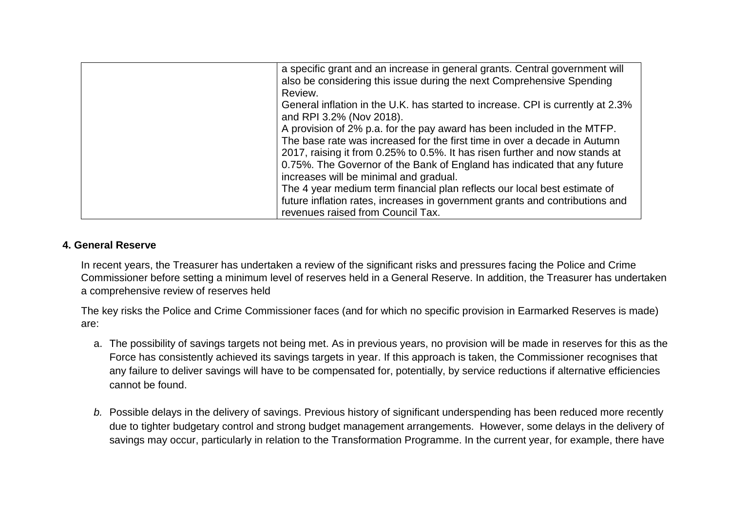| a specific grant and an increase in general grants. Central government will<br>also be considering this issue during the next Comprehensive Spending<br>Review.                                                                                                                                                                                                                                                                                                                                                                                             |
|-------------------------------------------------------------------------------------------------------------------------------------------------------------------------------------------------------------------------------------------------------------------------------------------------------------------------------------------------------------------------------------------------------------------------------------------------------------------------------------------------------------------------------------------------------------|
| General inflation in the U.K. has started to increase. CPI is currently at 2.3%<br>and RPI 3.2% (Nov 2018).                                                                                                                                                                                                                                                                                                                                                                                                                                                 |
| A provision of 2% p.a. for the pay award has been included in the MTFP.<br>The base rate was increased for the first time in over a decade in Autumn<br>2017, raising it from 0.25% to 0.5%. It has risen further and now stands at<br>0.75%. The Governor of the Bank of England has indicated that any future<br>increases will be minimal and gradual.<br>The 4 year medium term financial plan reflects our local best estimate of<br>future inflation rates, increases in government grants and contributions and<br>revenues raised from Council Tax. |

# **4. General Reserve**

In recent years, the Treasurer has undertaken a review of the significant risks and pressures facing the Police and Crime Commissioner before setting a minimum level of reserves held in a General Reserve. In addition, the Treasurer has undertaken a comprehensive review of reserves held

The key risks the Police and Crime Commissioner faces (and for which no specific provision in Earmarked Reserves is made) are:

- a. The possibility of savings targets not being met. As in previous years, no provision will be made in reserves for this as the Force has consistently achieved its savings targets in year. If this approach is taken, the Commissioner recognises that any failure to deliver savings will have to be compensated for, potentially, by service reductions if alternative efficiencies cannot be found.
- *b.* Possible delays in the delivery of savings. Previous history of significant underspending has been reduced more recently due to tighter budgetary control and strong budget management arrangements. However, some delays in the delivery of savings may occur, particularly in relation to the Transformation Programme. In the current year, for example, there have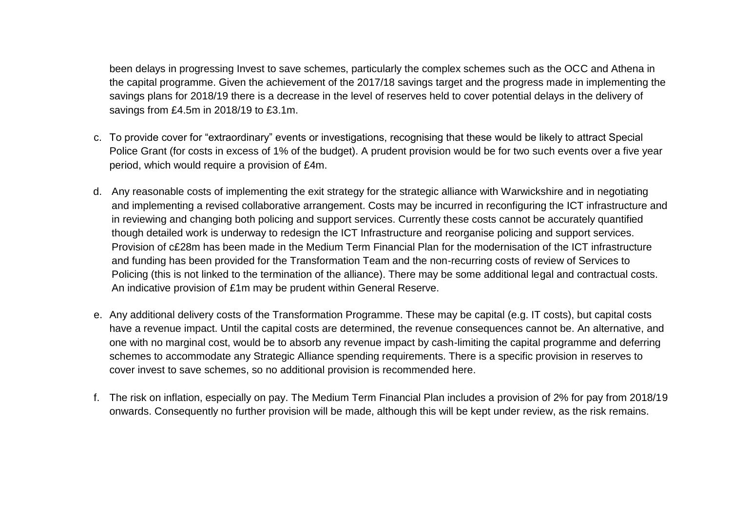been delays in progressing Invest to save schemes, particularly the complex schemes such as the OCC and Athena in the capital programme. Given the achievement of the 2017/18 savings target and the progress made in implementing the savings plans for 2018/19 there is a decrease in the level of reserves held to cover potential delays in the delivery of savings from £4.5m in 2018/19 to £3.1m.

- c. To provide cover for "extraordinary" events or investigations, recognising that these would be likely to attract Special Police Grant (for costs in excess of 1% of the budget). A prudent provision would be for two such events over a five year period, which would require a provision of £4m.
- d. Any reasonable costs of implementing the exit strategy for the strategic alliance with Warwickshire and in negotiating and implementing a revised collaborative arrangement. Costs may be incurred in reconfiguring the ICT infrastructure and in reviewing and changing both policing and support services. Currently these costs cannot be accurately quantified though detailed work is underway to redesign the ICT Infrastructure and reorganise policing and support services. Provision of c£28m has been made in the Medium Term Financial Plan for the modernisation of the ICT infrastructure and funding has been provided for the Transformation Team and the non-recurring costs of review of Services to Policing (this is not linked to the termination of the alliance). There may be some additional legal and contractual costs. An indicative provision of £1m may be prudent within General Reserve.
- e. Any additional delivery costs of the Transformation Programme. These may be capital (e.g. IT costs), but capital costs have a revenue impact. Until the capital costs are determined, the revenue consequences cannot be. An alternative, and one with no marginal cost, would be to absorb any revenue impact by cash-limiting the capital programme and deferring schemes to accommodate any Strategic Alliance spending requirements. There is a specific provision in reserves to cover invest to save schemes, so no additional provision is recommended here.
- f. The risk on inflation, especially on pay. The Medium Term Financial Plan includes a provision of 2% for pay from 2018/19 onwards. Consequently no further provision will be made, although this will be kept under review, as the risk remains.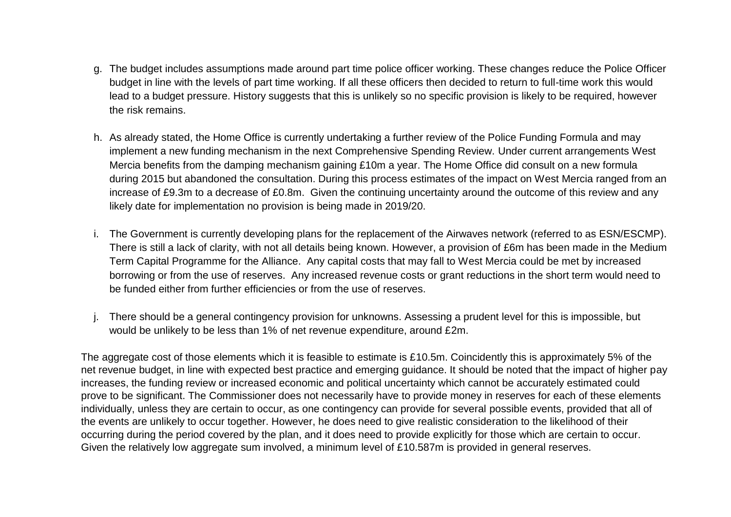- g. The budget includes assumptions made around part time police officer working. These changes reduce the Police Officer budget in line with the levels of part time working. If all these officers then decided to return to full-time work this would lead to a budget pressure. History suggests that this is unlikely so no specific provision is likely to be required, however the risk remains.
- h. As already stated, the Home Office is currently undertaking a further review of the Police Funding Formula and may implement a new funding mechanism in the next Comprehensive Spending Review. Under current arrangements West Mercia benefits from the damping mechanism gaining £10m a year. The Home Office did consult on a new formula during 2015 but abandoned the consultation. During this process estimates of the impact on West Mercia ranged from an increase of £9.3m to a decrease of £0.8m. Given the continuing uncertainty around the outcome of this review and any likely date for implementation no provision is being made in 2019/20.
- i. The Government is currently developing plans for the replacement of the Airwaves network (referred to as ESN/ESCMP). There is still a lack of clarity, with not all details being known. However, a provision of £6m has been made in the Medium Term Capital Programme for the Alliance. Any capital costs that may fall to West Mercia could be met by increased borrowing or from the use of reserves. Any increased revenue costs or grant reductions in the short term would need to be funded either from further efficiencies or from the use of reserves.
- j. There should be a general contingency provision for unknowns. Assessing a prudent level for this is impossible, but would be unlikely to be less than 1% of net revenue expenditure, around £2m.

The aggregate cost of those elements which it is feasible to estimate is £10.5m. Coincidently this is approximately 5% of the net revenue budget, in line with expected best practice and emerging guidance. It should be noted that the impact of higher pay increases, the funding review or increased economic and political uncertainty which cannot be accurately estimated could prove to be significant. The Commissioner does not necessarily have to provide money in reserves for each of these elements individually, unless they are certain to occur, as one contingency can provide for several possible events, provided that all of the events are unlikely to occur together. However, he does need to give realistic consideration to the likelihood of their occurring during the period covered by the plan, and it does need to provide explicitly for those which are certain to occur. Given the relatively low aggregate sum involved, a minimum level of £10.587m is provided in general reserves.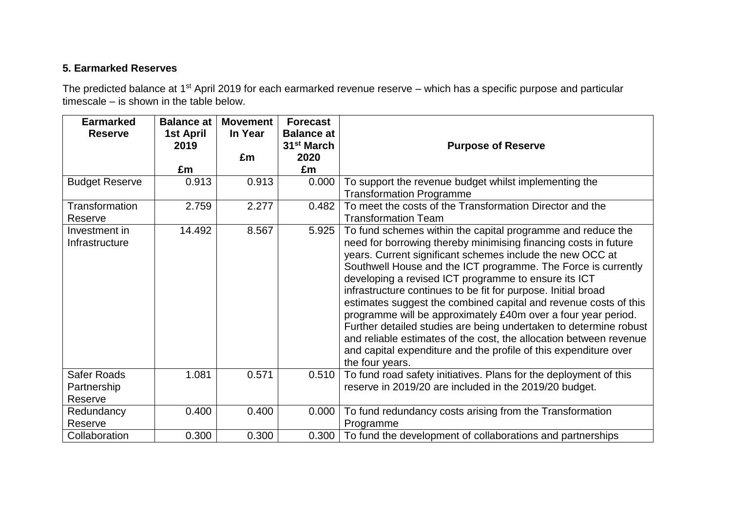# **5. Earmarked Reserves**

The predicted balance at 1<sup>st</sup> April 2019 for each earmarked revenue reserve – which has a specific purpose and particular timescale – is shown in the table below.

| <b>Earmarked</b><br><b>Reserve</b>    | <b>Balance at</b><br>1st April<br>2019 | <b>Movement</b><br>In Year | <b>Forecast</b><br><b>Balance at</b><br>31 <sup>st</sup> March | <b>Purpose of Reserve</b>                                                                                                                                                                                                                                                                                                                                                                                                                                                                                                                                                                                                                                                                                                                                    |
|---------------------------------------|----------------------------------------|----------------------------|----------------------------------------------------------------|--------------------------------------------------------------------------------------------------------------------------------------------------------------------------------------------------------------------------------------------------------------------------------------------------------------------------------------------------------------------------------------------------------------------------------------------------------------------------------------------------------------------------------------------------------------------------------------------------------------------------------------------------------------------------------------------------------------------------------------------------------------|
|                                       | £m                                     | £m                         | 2020<br>£m                                                     |                                                                                                                                                                                                                                                                                                                                                                                                                                                                                                                                                                                                                                                                                                                                                              |
| <b>Budget Reserve</b>                 | 0.913                                  | 0.913                      | 0.000                                                          | To support the revenue budget whilst implementing the                                                                                                                                                                                                                                                                                                                                                                                                                                                                                                                                                                                                                                                                                                        |
|                                       |                                        |                            |                                                                | <b>Transformation Programme</b>                                                                                                                                                                                                                                                                                                                                                                                                                                                                                                                                                                                                                                                                                                                              |
| <b>Transformation</b>                 | 2.759                                  | 2.277                      | 0.482                                                          | To meet the costs of the Transformation Director and the                                                                                                                                                                                                                                                                                                                                                                                                                                                                                                                                                                                                                                                                                                     |
| Reserve                               |                                        |                            |                                                                | <b>Transformation Team</b>                                                                                                                                                                                                                                                                                                                                                                                                                                                                                                                                                                                                                                                                                                                                   |
| Investment in<br>Infrastructure       | 14.492                                 | 8.567                      | 5.925                                                          | To fund schemes within the capital programme and reduce the<br>need for borrowing thereby minimising financing costs in future<br>years. Current significant schemes include the new OCC at<br>Southwell House and the ICT programme. The Force is currently<br>developing a revised ICT programme to ensure its ICT<br>infrastructure continues to be fit for purpose. Initial broad<br>estimates suggest the combined capital and revenue costs of this<br>programme will be approximately £40m over a four year period.<br>Further detailed studies are being undertaken to determine robust<br>and reliable estimates of the cost, the allocation between revenue<br>and capital expenditure and the profile of this expenditure over<br>the four years. |
| Safer Roads<br>Partnership<br>Reserve | 1.081                                  | 0.571                      | 0.510                                                          | To fund road safety initiatives. Plans for the deployment of this<br>reserve in 2019/20 are included in the 2019/20 budget.                                                                                                                                                                                                                                                                                                                                                                                                                                                                                                                                                                                                                                  |
| Redundancy<br>Reserve                 | 0.400                                  | 0.400                      | 0.000                                                          | To fund redundancy costs arising from the Transformation<br>Programme                                                                                                                                                                                                                                                                                                                                                                                                                                                                                                                                                                                                                                                                                        |
| Collaboration                         | 0.300                                  | 0.300                      | 0.300                                                          | To fund the development of collaborations and partnerships                                                                                                                                                                                                                                                                                                                                                                                                                                                                                                                                                                                                                                                                                                   |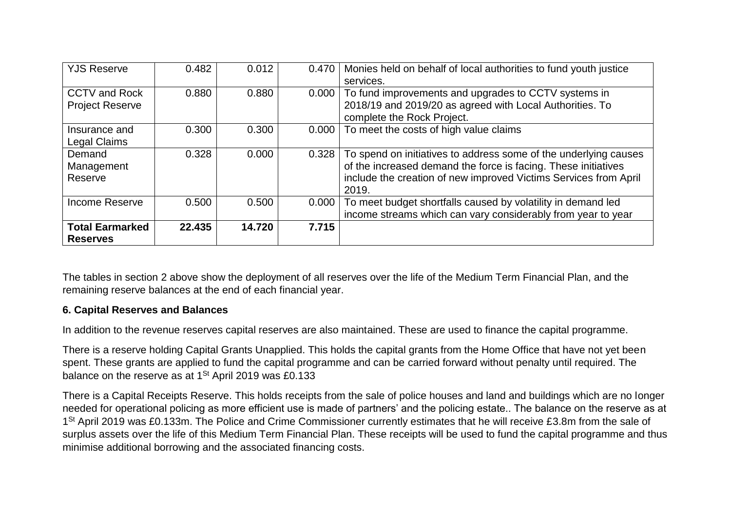| <b>YJS Reserve</b>                             | 0.482  | 0.012  | 0.470 | Monies held on behalf of local authorities to fund youth justice<br>services.                                                                                                                                   |
|------------------------------------------------|--------|--------|-------|-----------------------------------------------------------------------------------------------------------------------------------------------------------------------------------------------------------------|
| <b>CCTV and Rock</b><br><b>Project Reserve</b> | 0.880  | 0.880  | 0.000 | To fund improvements and upgrades to CCTV systems in<br>2018/19 and 2019/20 as agreed with Local Authorities. To<br>complete the Rock Project.                                                                  |
| Insurance and<br><b>Legal Claims</b>           | 0.300  | 0.300  | 0.000 | To meet the costs of high value claims                                                                                                                                                                          |
| Demand<br>Management<br>Reserve                | 0.328  | 0.000  | 0.328 | To spend on initiatives to address some of the underlying causes<br>of the increased demand the force is facing. These initiatives<br>include the creation of new improved Victims Services from April<br>2019. |
| <b>Income Reserve</b>                          | 0.500  | 0.500  | 0.000 | To meet budget shortfalls caused by volatility in demand led<br>income streams which can vary considerably from year to year                                                                                    |
| <b>Total Earmarked</b><br><b>Reserves</b>      | 22.435 | 14.720 | 7.715 |                                                                                                                                                                                                                 |

The tables in section 2 above show the deployment of all reserves over the life of the Medium Term Financial Plan, and the remaining reserve balances at the end of each financial year.

# **6. Capital Reserves and Balances**

In addition to the revenue reserves capital reserves are also maintained. These are used to finance the capital programme.

There is a reserve holding Capital Grants Unapplied. This holds the capital grants from the Home Office that have not yet been spent. These grants are applied to fund the capital programme and can be carried forward without penalty until required. The balance on the reserve as at  $1<sup>St</sup>$  April 2019 was £0.133

There is a Capital Receipts Reserve. This holds receipts from the sale of police houses and land and buildings which are no longer needed for operational policing as more efficient use is made of partners' and the policing estate.. The balance on the reserve as at 1<sup>St</sup> April 2019 was £0.133m. The Police and Crime Commissioner currently estimates that he will receive £3.8m from the sale of surplus assets over the life of this Medium Term Financial Plan. These receipts will be used to fund the capital programme and thus minimise additional borrowing and the associated financing costs.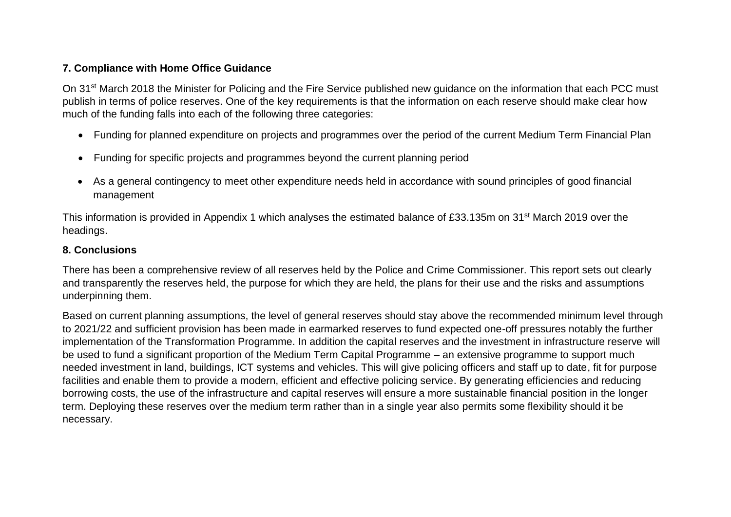#### **7. Compliance with Home Office Guidance**

On 31st March 2018 the Minister for Policing and the Fire Service published new guidance on the information that each PCC must publish in terms of police reserves. One of the key requirements is that the information on each reserve should make clear how much of the funding falls into each of the following three categories:

- Funding for planned expenditure on projects and programmes over the period of the current Medium Term Financial Plan
- Funding for specific projects and programmes beyond the current planning period
- As a general contingency to meet other expenditure needs held in accordance with sound principles of good financial management

This information is provided in Appendix 1 which analyses the estimated balance of £33.135m on 31st March 2019 over the headings.

#### **8. Conclusions**

There has been a comprehensive review of all reserves held by the Police and Crime Commissioner. This report sets out clearly and transparently the reserves held, the purpose for which they are held, the plans for their use and the risks and assumptions underpinning them.

Based on current planning assumptions, the level of general reserves should stay above the recommended minimum level through to 2021/22 and sufficient provision has been made in earmarked reserves to fund expected one-off pressures notably the further implementation of the Transformation Programme. In addition the capital reserves and the investment in infrastructure reserve will be used to fund a significant proportion of the Medium Term Capital Programme – an extensive programme to support much needed investment in land, buildings, ICT systems and vehicles. This will give policing officers and staff up to date, fit for purpose facilities and enable them to provide a modern, efficient and effective policing service. By generating efficiencies and reducing borrowing costs, the use of the infrastructure and capital reserves will ensure a more sustainable financial position in the longer term. Deploying these reserves over the medium term rather than in a single year also permits some flexibility should it be necessary.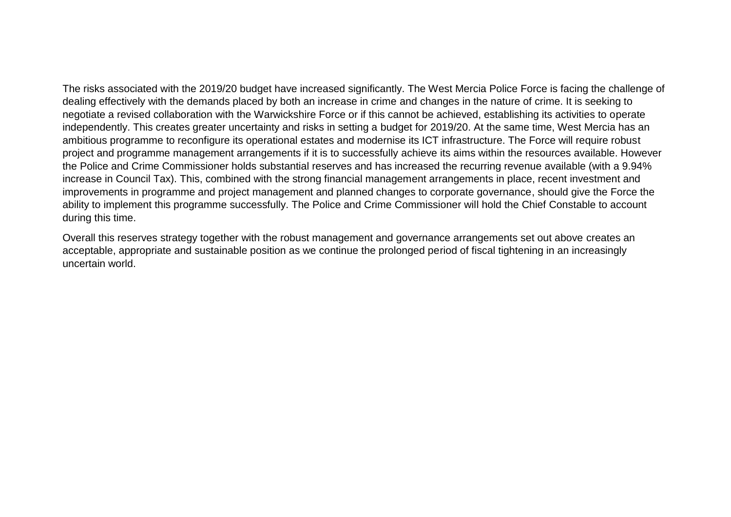The risks associated with the 2019/20 budget have increased significantly. The West Mercia Police Force is facing the challenge of dealing effectively with the demands placed by both an increase in crime and changes in the nature of crime. It is seeking to negotiate a revised collaboration with the Warwickshire Force or if this cannot be achieved, establishing its activities to operate independently. This creates greater uncertainty and risks in setting a budget for 2019/20. At the same time, West Mercia has an ambitious programme to reconfigure its operational estates and modernise its ICT infrastructure. The Force will require robust project and programme management arrangements if it is to successfully achieve its aims within the resources available. However the Police and Crime Commissioner holds substantial reserves and has increased the recurring revenue available (with a 9.94% increase in Council Tax). This, combined with the strong financial management arrangements in place, recent investment and improvements in programme and project management and planned changes to corporate governance, should give the Force the ability to implement this programme successfully. The Police and Crime Commissioner will hold the Chief Constable to account during this time.

Overall this reserves strategy together with the robust management and governance arrangements set out above creates an acceptable, appropriate and sustainable position as we continue the prolonged period of fiscal tightening in an increasingly uncertain world.